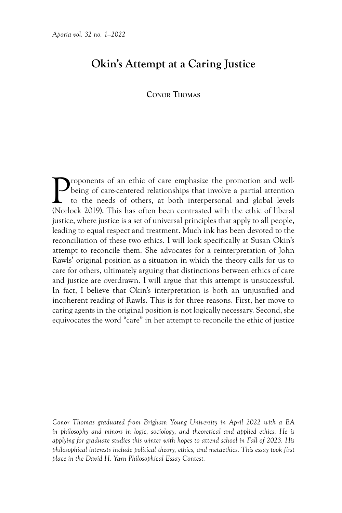## **Okin's Attempt at a Caring Justice**

## **Conor Thomas**

**P**roponents of an ethic of care emphasize the promotion and well-<br>being of care-centered relationships that involve a partial attention<br>to the needs of others, at both interpersonal and global levels<br>(Norlock 2019) This h being of care-centered relationships that involve a partial attention to the needs of others, at both interpersonal and global levels (Norlock 2019). This has often been contrasted with the ethic of liberal justice, where justice is a set of universal principles that apply to all people, leading to equal respect and treatment. Much ink has been devoted to the reconciliation of these two ethics. I will look specifically at Susan Okin's attempt to reconcile them. She advocates for a reinterpretation of John Rawls' original position as a situation in which the theory calls for us to care for others, ultimately arguing that distinctions between ethics of care and justice are overdrawn. I will argue that this attempt is unsuccessful. In fact, I believe that Okin's interpretation is both an unjustified and incoherent reading of Rawls. This is for three reasons. First, her move to caring agents in the original position is not logically necessary. Second, she equivocates the word "care" in her attempt to reconcile the ethic of justice

*Conor Thomas graduated from Brigham Young University in April 2022 with a BA*  in philosophy and minors in logic, sociology, and theoretical and applied ethics. He is *applying for graduate studies this winter with hopes to attend school in Fall of 2023. His philosophical interests include political theory, ethics, and metaethics. This essay took first place in the David H. Yarn Philosophical Essay Contest.*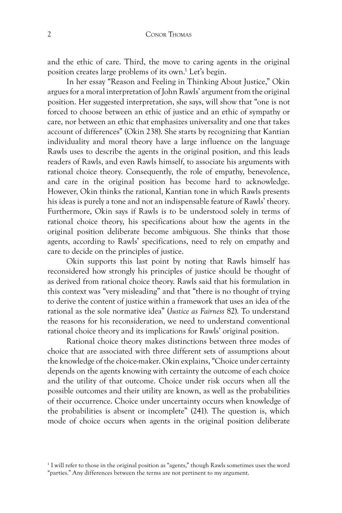and the ethic of care. Third, the move to caring agents in the original position creates large problems of its own.<sup>1</sup> Let's begin.

In her essay "Reason and Feeling in Thinking About Justice," Okin argues for a moral interpretation of John Rawls' argument from the original position. Her suggested interpretation, she says, will show that "one is not forced to choose between an ethic of justice and an ethic of sympathy or care, nor between an ethic that emphasizes universality and one that takes account of differences" (Okin 238). She starts by recognizing that Kantian individuality and moral theory have a large influence on the language Rawls uses to describe the agents in the original position, and this leads readers of Rawls, and even Rawls himself, to associate his arguments with rational choice theory. Consequently, the role of empathy, benevolence, and care in the original position has become hard to acknowledge. However, Okin thinks the rational, Kantian tone in which Rawls presents his ideas is purely a tone and not an indispensable feature of Rawls' theory. Furthermore, Okin says if Rawls is to be understood solely in terms of rational choice theory, his specifications about how the agents in the original position deliberate become ambiguous. She thinks that those agents, according to Rawls' specifications, need to rely on empathy and care to decide on the principles of justice.

Okin supports this last point by noting that Rawls himself has reconsidered how strongly his principles of justice should be thought of as derived from rational choice theory. Rawls said that his formulation in this context was "very misleading" and that "there is no thought of trying to derive the content of justice within a framework that uses an idea of the rational as the sole normative idea" (*Justice as Fairness* 82). To understand the reasons for his reconsideration, we need to understand conventional rational choice theory and its implications for Rawls' original position.

Rational choice theory makes distinctions between three modes of choice that are associated with three different sets of assumptions about the knowledge of the choice-maker. Okin explains, "Choice under certainty depends on the agents knowing with certainty the outcome of each choice and the utility of that outcome. Choice under risk occurs when all the possible outcomes and their utility are known, as well as the probabilities of their occurrence. Choice under uncertainty occurs when knowledge of the probabilities is absent or incomplete" (241). The question is, which mode of choice occurs when agents in the original position deliberate

<sup>1</sup> I will refer to those in the original position as "agents," though Rawls sometimes uses the word "parties." Any differences between the terms are not pertinent to my argument.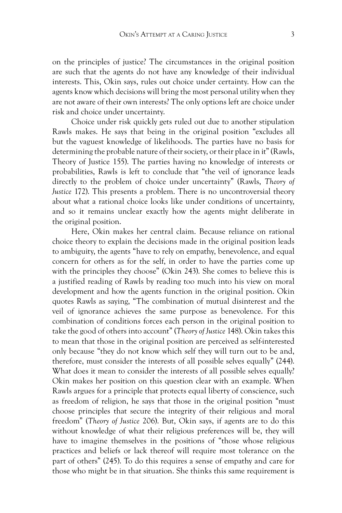on the principles of justice? The circumstances in the original position are such that the agents do not have any knowledge of their individual interests. This, Okin says, rules out choice under certainty. How can the agents know which decisions will bring the most personal utility when they are not aware of their own interests? The only options left are choice under risk and choice under uncertainty.

Choice under risk quickly gets ruled out due to another stipulation Rawls makes. He says that being in the original position "excludes all but the vaguest knowledge of likelihoods. The parties have no basis for determining the probable nature of their society, or their place in it" (Rawls, Theory of Justice 155). The parties having no knowledge of interests or probabilities, Rawls is left to conclude that "the veil of ignorance leads directly to the problem of choice under uncertainty" (Rawls, *Theory of Justice* 172). This presents a problem. There is no uncontroversial theory about what a rational choice looks like under conditions of uncertainty, and so it remains unclear exactly how the agents might deliberate in the original position.

Here, Okin makes her central claim. Because reliance on rational choice theory to explain the decisions made in the original position leads to ambiguity, the agents "have to rely on empathy, benevolence, and equal concern for others as for the self, in order to have the parties come up with the principles they choose" (Okin 243). She comes to believe this is a justified reading of Rawls by reading too much into his view on moral development and how the agents function in the original position. Okin quotes Rawls as saying, "The combination of mutual disinterest and the veil of ignorance achieves the same purpose as benevolence. For this combination of conditions forces each person in the original position to take the good of others into account" (*Theory of Justice* 148). Okin takes this to mean that those in the original position are perceived as self-interested only because "they do not know which self they will turn out to be and, therefore, must consider the interests of all possible selves equally" (244). What does it mean to consider the interests of all possible selves equally? Okin makes her position on this question clear with an example. When Rawls argues for a principle that protects equal liberty of conscience, such as freedom of religion, he says that those in the original position "must choose principles that secure the integrity of their religious and moral freedom" (*Theory of Justice* 206). But, Okin says, if agents are to do this without knowledge of what their religious preferences will be, they will have to imagine themselves in the positions of "those whose religious practices and beliefs or lack thereof will require most tolerance on the part of others" (245). To do this requires a sense of empathy and care for those who might be in that situation. She thinks this same requirement is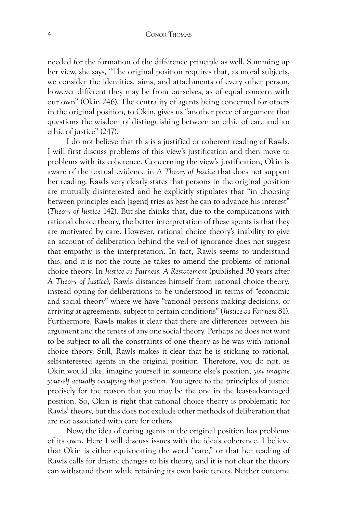needed for the formation of the difference principle as well. Summing up her view, she says, "The original position requires that, as moral subjects, we consider the identities, aims, and attachments of every other person, however different they may be from ourselves, as of equal concern with our own" (Okin 246). The centrality of agents being concerned for others in the original position, to Okin, gives us "another piece of argument that questions the wisdom of distinguishing between an ethic of care and an ethic of justice" (247).

I do not believe that this is a justified or coherent reading of Rawls. I will first discuss problems of this view's justification and then move to problems with its coherence. Concerning the view's justification, Okin is aware of the textual evidence in *A Theory of Justice* that does not support her reading. Rawls very clearly states that persons in the original position are mutually disinterested and he explicitly stipulates that "in choosing between principles each [agent] tries as best he can to advance his interest" (*Theory of Justice* 142). But she thinks that, due to the complications with rational choice theory, the better interpretation of these agents is that they are motivated by care. However, rational choice theory's inability to give an account of deliberation behind the veil of ignorance does not suggest that empathy is the interpretation. In fact, Rawls seems to understand this, and it is not the route he takes to amend the problems of rational choice theory. In *Justice as Fairness: A Restatement* (published 30 years after *A Theory of Justice*), Rawls distances himself from rational choice theory, instead opting for deliberations to be understood in terms of "economic and social theory" where we have "rational persons making decisions, or arriving at agreements, subject to certain conditions" (*Justice as Fairness* 81). Furthermore, Rawls makes it clear that there are differences between his argument and the tenets of any one social theory. Perhaps he does not want to be subject to all the constraints of one theory as he was with rational choice theory. Still, Rawls makes it clear that he is sticking to rational, self-interested agents in the original position. Therefore, you do not, as Okin would like, imagine yourself in someone else's position, *you imagine yourself actually occupying that position*. You agree to the principles of justice precisely for the reason that you may be the one in the least-advantaged position. So, Okin is right that rational choice theory is problematic for Rawls' theory, but this does not exclude other methods of deliberation that are not associated with care for others.

Now, the idea of caring agents in the original position has problems of its own. Here I will discuss issues with the idea's coherence. I believe that Okin is either equivocating the word "care," or that her reading of Rawls calls for drastic changes to his theory, and it is not clear the theory can withstand them while retaining its own basic tenets. Neither outcome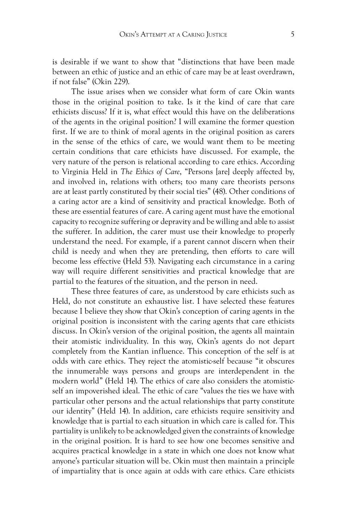is desirable if we want to show that "distinctions that have been made between an ethic of justice and an ethic of care may be at least overdrawn, if not false" (Okin 229).

The issue arises when we consider what form of care Okin wants those in the original position to take. Is it the kind of care that care ethicists discuss? If it is, what effect would this have on the deliberations of the agents in the original position? I will examine the former question first. If we are to think of moral agents in the original position as carers in the sense of the ethics of care, we would want them to be meeting certain conditions that care ethicists have discussed. For example, the very nature of the person is relational according to care ethics. According to Virginia Held in *The Ethics of Care*, "Persons [are] deeply affected by, and involved in, relations with others; too many care theorists persons are at least partly constituted by their social ties" (48). Other conditions of a caring actor are a kind of sensitivity and practical knowledge. Both of these are essential features of care. A caring agent must have the emotional capacity to recognize suffering or depravity and be willing and able to assist the sufferer. In addition, the carer must use their knowledge to properly understand the need. For example, if a parent cannot discern when their child is needy and when they are pretending, then efforts to care will become less effective (Held 53). Navigating each circumstance in a caring way will require different sensitivities and practical knowledge that are partial to the features of the situation, and the person in need.

These three features of care, as understood by care ethicists such as Held, do not constitute an exhaustive list. I have selected these features because I believe they show that Okin's conception of caring agents in the original position is inconsistent with the caring agents that care ethicists discuss. In Okin's version of the original position, the agents all maintain their atomistic individuality. In this way, Okin's agents do not depart completely from the Kantian influence. This conception of the self is at odds with care ethics. They reject the atomistic-self because "it obscures the innumerable ways persons and groups are interdependent in the modern world" (Held 14). The ethics of care also considers the atomisticself an impoverished ideal. The ethic of care "values the ties we have with particular other persons and the actual relationships that party constitute our identity" (Held 14). In addition, care ethicists require sensitivity and knowledge that is partial to each situation in which care is called for. This partiality is unlikely to be acknowledged given the constraints of knowledge in the original position. It is hard to see how one becomes sensitive and acquires practical knowledge in a state in which one does not know what anyone's particular situation will be. Okin must then maintain a principle of impartiality that is once again at odds with care ethics. Care ethicists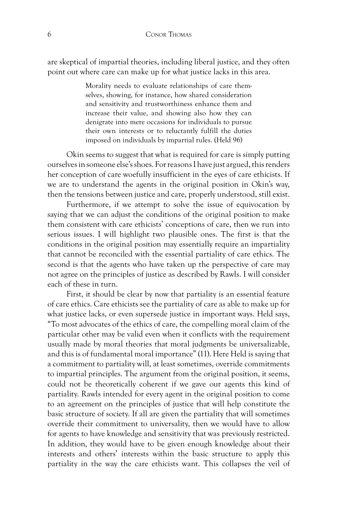are skeptical of impartial theories, including liberal justice, and they often point out where care can make up for what justice lacks in this area.

> Morality needs to evaluate relationships of care themselves, showing, for instance, how shared consideration and sensitivity and trustworthiness enhance them and increase their value, and showing also how they can denigrate into mere occasions for individuals to pursue their own interests or to reluctantly fulfill the duties imposed on individuals by impartial rules. (Held 96)

Okin seems to suggest that what is required for care is simply putting ourselves in someone else's shoes. For reasons I have just argued, this renders her conception of care woefully insufficient in the eyes of care ethicists. If we are to understand the agents in the original position in Okin's way, then the tensions between justice and care, properly understood, still exist.

Furthermore, if we attempt to solve the issue of equivocation by saying that we can adjust the conditions of the original position to make them consistent with care ethicists' conceptions of care, then we run into serious issues. I will highlight two plausible ones. The first is that the conditions in the original position may essentially require an impartiality that cannot be reconciled with the essential partiality of care ethics. The second is that the agents who have taken up the perspective of care may not agree on the principles of justice as described by Rawls. I will consider each of these in turn.

First, it should be clear by now that partiality is an essential feature of care ethics. Care ethicists see the partiality of care as able to make up for what justice lacks, or even supersede justice in important ways. Held says, "To most advocates of the ethics of care, the compelling moral claim of the particular other may be valid even when it conflicts with the requirement usually made by moral theories that moral judgments be universalizable, and this is of fundamental moral importance" (11). Here Held is saying that a commitment to partiality will, at least sometimes, override commitments to impartial principles. The argument from the original position, it seems, could not be theoretically coherent if we gave our agents this kind of partiality. Rawls intended for every agent in the original position to come to an agreement on the principles of justice that will help constitute the basic structure of society. If all are given the partiality that will sometimes override their commitment to universality, then we would have to allow for agents to have knowledge and sensitivity that was previously restricted. In addition, they would have to be given enough knowledge about their interests and others' interests within the basic structure to apply this partiality in the way the care ethicists want. This collapses the veil of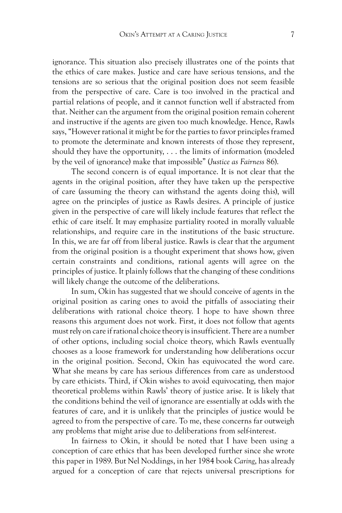ignorance. This situation also precisely illustrates one of the points that the ethics of care makes. Justice and care have serious tensions, and the tensions are so serious that the original position does not seem feasible from the perspective of care. Care is too involved in the practical and partial relations of people, and it cannot function well if abstracted from that. Neither can the argument from the original position remain coherent and instructive if the agents are given too much knowledge. Hence, Rawls says, "However rational it might be for the parties to favor principles framed to promote the determinate and known interests of those they represent, should they have the opportunity, . . . the limits of information (modeled by the veil of ignorance) make that impossible" (*Justice as Fairness* 86).

The second concern is of equal importance. It is not clear that the agents in the original position, after they have taken up the perspective of care (assuming the theory can withstand the agents doing this), will agree on the principles of justice as Rawls desires. A principle of justice given in the perspective of care will likely include features that reflect the ethic of care itself. It may emphasize partiality rooted in morally valuable relationships, and require care in the institutions of the basic structure. In this, we are far off from liberal justice. Rawls is clear that the argument from the original position is a thought experiment that shows how, given certain constraints and conditions, rational agents will agree on the principles of justice. It plainly follows that the changing of these conditions will likely change the outcome of the deliberations.

In sum, Okin has suggested that we should conceive of agents in the original position as caring ones to avoid the pitfalls of associating their deliberations with rational choice theory. I hope to have shown three reasons this argument does not work. First, it does not follow that agents must rely on care if rational choice theory is insufficient. There are a number of other options, including social choice theory, which Rawls eventually chooses as a loose framework for understanding how deliberations occur in the original position. Second, Okin has equivocated the word care. What she means by care has serious differences from care as understood by care ethicists. Third, if Okin wishes to avoid equivocating, then major theoretical problems within Rawls' theory of justice arise. It is likely that the conditions behind the veil of ignorance are essentially at odds with the features of care, and it is unlikely that the principles of justice would be agreed to from the perspective of care. To me, these concerns far outweigh any problems that might arise due to deliberations from self-interest.

In fairness to Okin, it should be noted that I have been using a conception of care ethics that has been developed further since she wrote this paper in 1989. But Nel Noddings, in her 1984 book *Caring*, has already argued for a conception of care that rejects universal prescriptions for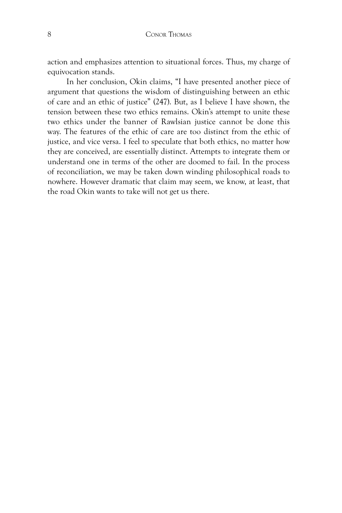action and emphasizes attention to situational forces. Thus, my charge of equivocation stands.

In her conclusion, Okin claims, "I have presented another piece of argument that questions the wisdom of distinguishing between an ethic of care and an ethic of justice" (247). But, as I believe I have shown, the tension between these two ethics remains. Okin's attempt to unite these two ethics under the banner of Rawlsian justice cannot be done this way. The features of the ethic of care are too distinct from the ethic of justice, and vice versa. I feel to speculate that both ethics, no matter how they are conceived, are essentially distinct. Attempts to integrate them or understand one in terms of the other are doomed to fail. In the process of reconciliation, we may be taken down winding philosophical roads to nowhere. However dramatic that claim may seem, we know, at least, that the road Okin wants to take will not get us there.